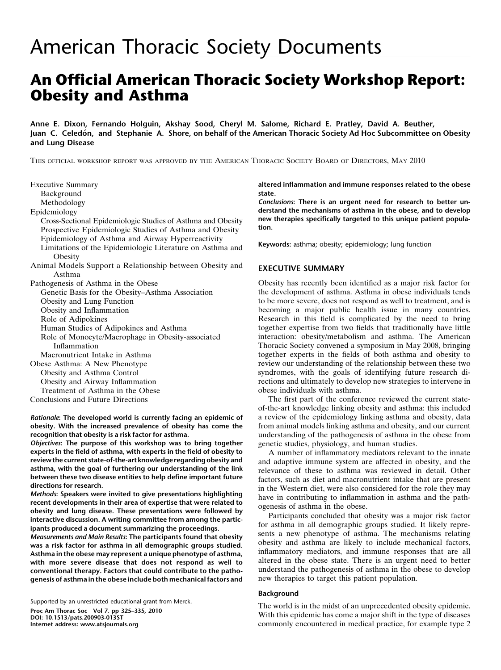# An Official American Thoracic Society Workshop Report: Obesity and Asthma

Anne E. Dixon, Fernando Holguin, Akshay Sood, Cheryl M. Salome, Richard E. Pratley, David A. Beuther, Juan C. Celedón, and Stephanie A. Shore, on behalf of the American Thoracic Society Ad Hoc Subcommittee on Obesity and Lung Disease

THIS OFFICIAL WORKSHOP REPORT WAS APPROVED BY THE AMERICAN THORACIC SOCIETY BOARD OF DIRECTORS, MAY 2010

Executive Summary

Background

Methodology

Epidemiology

Cross-Sectional Epidemiologic Studies of Asthma and Obesity Prospective Epidemiologic Studies of Asthma and Obesity Epidemiology of Asthma and Airway Hyperreactivity Limitations of the Epidemiologic Literature on Asthma and

**Obesity** 

Animal Models Support a Relationship between Obesity and Asthma

Pathogenesis of Asthma in the Obese

Genetic Basis for the Obesity–Asthma Association

Obesity and Lung Function

Obesity and Inflammation

Role of Adipokines

Human Studies of Adipokines and Asthma

Role of Monocyte/Macrophage in Obesity-associated Inflammation

Macronutrient Intake in Asthma

Obese Asthma: A New Phenotype

Obesity and Asthma Control

Obesity and Airway Inflammation

Treatment of Asthma in the Obese

Conclusions and Future Directions

Rationale: The developed world is currently facing an epidemic of obesity. With the increased prevalence of obesity has come the recognition that obesity is a risk factor for asthma.

Objectives: The purpose of this workshop was to bring together experts in the field of asthma, with experts in the field of obesity to review the current state-of-the-art knowledge regarding obesity and asthma, with the goal of furthering our understanding of the link between these two disease entities to help define important future directions for research.

Methods: Speakers were invited to give presentations highlighting recent developments in their area of expertise that were related to obesity and lung disease. These presentations were followed by interactive discussion. A writing committee from among the participants produced a document summarizing the proceedings.

Measurements and Main Results: The participants found that obesity was a risk factor for asthma in all demographic groups studied. Asthma in the obese may represent a unique phenotype of asthma, with more severe disease that does not respond as well to conventional therapy. Factors that could contribute to the pathogenesis of asthma in the obese include both mechanical factors and

Internet address: www.atsjournals.org

altered inflammation and immune responses related to the obese state.

Conclusions: There is an urgent need for research to better understand the mechanisms of asthma in the obese, and to develop new therapies specifically targeted to this unique patient population.

Keywords: asthma; obesity; epidemiology; lung function

# EXECUTIVE SUMMARY

Obesity has recently been identified as a major risk factor for the development of asthma. Asthma in obese individuals tends to be more severe, does not respond as well to treatment, and is becoming a major public health issue in many countries. Research in this field is complicated by the need to bring together expertise from two fields that traditionally have little interaction: obesity/metabolism and asthma. The American Thoracic Society convened a symposium in May 2008, bringing together experts in the fields of both asthma and obesity to review our understanding of the relationship between these two syndromes, with the goals of identifying future research directions and ultimately to develop new strategies to intervene in obese individuals with asthma.

The first part of the conference reviewed the current stateof-the-art knowledge linking obesity and asthma: this included a review of the epidemiology linking asthma and obesity, data from animal models linking asthma and obesity, and our current understanding of the pathogenesis of asthma in the obese from genetic studies, physiology, and human studies.

A number of inflammatory mediators relevant to the innate and adaptive immune system are affected in obesity, and the relevance of these to asthma was reviewed in detail. Other factors, such as diet and macronutrient intake that are present in the Western diet, were also considered for the role they may have in contributing to inflammation in asthma and the pathogenesis of asthma in the obese.

Participants concluded that obesity was a major risk factor for asthma in all demographic groups studied. It likely represents a new phenotype of asthma. The mechanisms relating obesity and asthma are likely to include mechanical factors, inflammatory mediators, and immune responses that are all altered in the obese state. There is an urgent need to better understand the pathogenesis of asthma in the obese to develop new therapies to target this patient population.

# Background

The world is in the midst of an unprecedented obesity epidemic. With this epidemic has come a major shift in the type of diseases commonly encountered in medical practice, for example type 2

Supported by an unrestricted educational grant from Merck. Proc Am Thorac Soc Vol 7. pp 325–335, 2010 DOI: 10.1513/pats.200903-013ST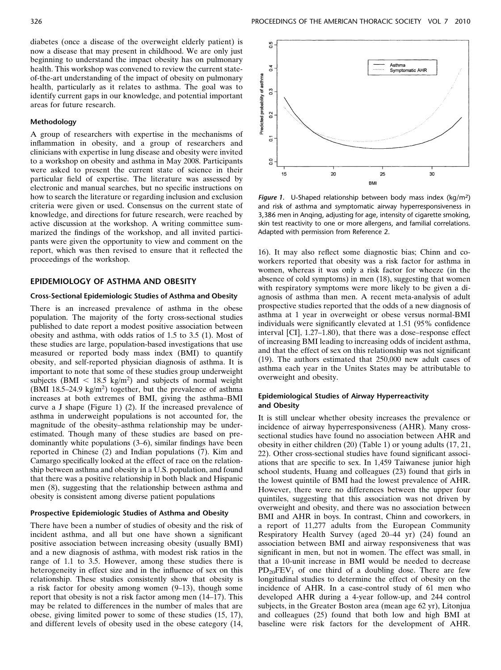diabetes (once a disease of the overweight elderly patient) is now a disease that may present in childhood. We are only just beginning to understand the impact obesity has on pulmonary health. This workshop was convened to review the current stateof-the-art understanding of the impact of obesity on pulmonary health, particularly as it relates to asthma. The goal was to identify current gaps in our knowledge, and potential important areas for future research.

#### Methodology

A group of researchers with expertise in the mechanisms of inflammation in obesity, and a group of researchers and clinicians with expertise in lung disease and obesity were invited to a workshop on obesity and asthma in May 2008. Participants were asked to present the current state of science in their particular field of expertise. The literature was assessed by electronic and manual searches, but no specific instructions on how to search the literature or regarding inclusion and exclusion criteria were given or used. Consensus on the current state of knowledge, and directions for future research, were reached by active discussion at the workshop. A writing committee summarized the findings of the workshop, and all invited participants were given the opportunity to view and comment on the report, which was then revised to ensure that it reflected the proceedings of the workshop.

# EPIDEMIOLOGY OF ASTHMA AND OBESITY

#### Cross-Sectional Epidemiologic Studies of Asthma and Obesity

There is an increased prevalence of asthma in the obese population. The majority of the forty cross-sectional studies published to date report a modest positive association between obesity and asthma, with odds ratios of 1.5 to 3.5 (1). Most of these studies are large, population-based investigations that use measured or reported body mass index (BMI) to quantify obesity, and self-reported physician diagnosis of asthma. It is important to note that some of these studies group underweight subjects (BMI  $<$  18.5 kg/m<sup>2</sup>) and subjects of normal weight (BMI 18.5–24.9 kg/m<sup>2</sup>) together, but the prevalence of asthma increases at both extremes of BMI, giving the asthma–BMI curve a J shape (Figure 1) (2). If the increased prevalence of asthma in underweight populations is not accounted for, the magnitude of the obesity–asthma relationship may be underestimated. Though many of these studies are based on predominantly white populations (3–6), similar findings have been reported in Chinese (2) and Indian populations (7). Kim and Camargo specifically looked at the effect of race on the relationship between asthma and obesity in a U.S. population, and found that there was a positive relationship in both black and Hispanic men (8), suggesting that the relationship between asthma and obesity is consistent among diverse patient populations

## Prospective Epidemiologic Studies of Asthma and Obesity

There have been a number of studies of obesity and the risk of incident asthma, and all but one have shown a significant positive association between increasing obesity (usually BMI) and a new diagnosis of asthma, with modest risk ratios in the range of 1.1 to 3.5. However, among these studies there is heterogeneity in effect size and in the influence of sex on this relationship. These studies consistently show that obesity is a risk factor for obesity among women (9–13), though some report that obesity is not a risk factor among men (14–17). This may be related to differences in the number of males that are obese, giving limited power to some of these studies (15, 17), and different levels of obesity used in the obese category (14,



Figure 1. U-Shaped relationship between body mass index (kg/m<sup>2</sup>) and risk of asthma and symptomatic airway hyperresponsiveness in 3,386 men in Anqing, adjusting for age, intensity of cigarette smoking, skin test reactivity to one or more allergens, and familial correlations. Adapted with permission from Reference 2.

16). It may also reflect some diagnostic bias; Chinn and coworkers reported that obesity was a risk factor for asthma in women, whereas it was only a risk factor for wheeze (in the absence of cold symptoms) in men (18), suggesting that women with respiratory symptoms were more likely to be given a diagnosis of asthma than men. A recent meta-analysis of adult prospective studies reported that the odds of a new diagnosis of asthma at 1 year in overweight or obese versus normal-BMI individuals were significantly elevated at 1.51 (95% confidence interval [CI], 1.27–1.80), that there was a dose–response effect of increasing BMI leading to increasing odds of incident asthma, and that the effect of sex on this relationship was not significant (19). The authors estimated that 250,000 new adult cases of asthma each year in the Unites States may be attributable to overweight and obesity.

# Epidemiological Studies of Airway Hyperreactivity and Obesity

It is still unclear whether obesity increases the prevalence or incidence of airway hyperresponsiveness (AHR). Many crosssectional studies have found no association between AHR and obesity in either children (20) (Table 1) or young adults (17, 21, 22). Other cross-sectional studies have found significant associations that are specific to sex. In 1,459 Taiwanese junior high school students, Huang and colleagues (23) found that girls in the lowest quintile of BMI had the lowest prevalence of AHR. However, there were no differences between the upper four quintiles, suggesting that this association was not driven by overweight and obesity, and there was no association between BMI and AHR in boys. In contrast, Chinn and coworkers, in a report of 11,277 adults from the European Community Respiratory Health Survey (aged 20–44 yr) (24) found an association between BMI and airway responsiveness that was significant in men, but not in women. The effect was small, in that a 10-unit increase in BMI would be needed to decrease  $PD_{20}FEV_1$  of one third of a doubling dose. There are few longitudinal studies to determine the effect of obesity on the incidence of AHR. In a case-control study of 61 men who developed AHR during a 4-year follow-up, and 244 control subjects, in the Greater Boston area (mean age 62 yr), Litonjua and colleagues (25) found that both low and high BMI at baseline were risk factors for the development of AHR.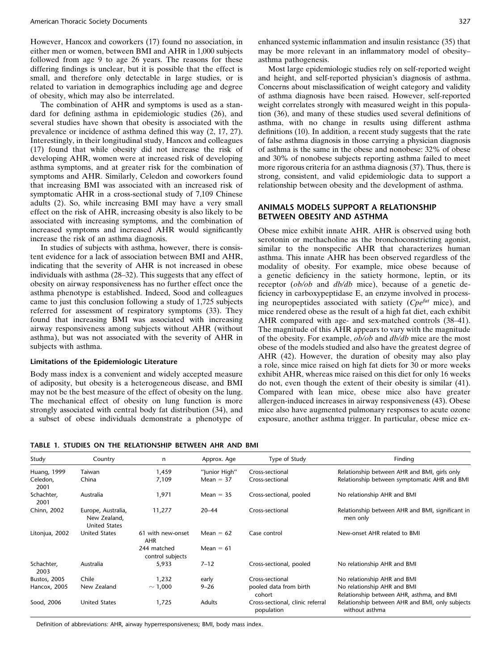However, Hancox and coworkers (17) found no association, in either men or women, between BMI and AHR in 1,000 subjects followed from age 9 to age 26 years. The reasons for these differing findings is unclear, but it is possible that the effect is small, and therefore only detectable in large studies, or is related to variation in demographics including age and degree of obesity, which may also be interrelated.

The combination of AHR and symptoms is used as a standard for defining asthma in epidemiologic studies (26), and several studies have shown that obesity is associated with the prevalence or incidence of asthma defined this way (2, 17, 27). Interestingly, in their longitudinal study, Hancox and colleagues (17) found that while obesity did not increase the risk of developing AHR, women were at increased risk of developing asthma symptoms, and at greater risk for the combination of symptoms and AHR. Similarly, Celedon and coworkers found that increasing BMI was associated with an increased risk of symptomatic AHR in a cross-sectional study of 7,109 Chinese adults (2). So, while increasing BMI may have a very small effect on the risk of AHR, increasing obesity is also likely to be associated with increasing symptoms, and the combination of increased symptoms and increased AHR would significantly increase the risk of an asthma diagnosis.

In studies of subjects with asthma, however, there is consistent evidence for a lack of association between BMI and AHR, indicating that the severity of AHR is not increased in obese individuals with asthma (28–32). This suggests that any effect of obesity on airway responsiveness has no further effect once the asthma phenotype is established. Indeed, Sood and colleagues came to just this conclusion following a study of 1,725 subjects referred for assessment of respiratory symptoms (33). They found that increasing BMI was associated with increasing airway responsiveness among subjects without AHR (without asthma), but was not associated with the severity of AHR in subjects with asthma.

# Limitations of the Epidemiologic Literature

Body mass index is a convenient and widely accepted measure of adiposity, but obesity is a heterogeneous disease, and BMI may not be the best measure of the effect of obesity on the lung. The mechanical effect of obesity on lung function is more strongly associated with central body fat distribution (34), and a subset of obese individuals demonstrate a phenotype of

Most large epidemiologic studies rely on self-reported weight and height, and self-reported physician's diagnosis of asthma. Concerns about misclassification of weight category and validity of asthma diagnosis have been raised. However, self-reported weight correlates strongly with measured weight in this population (36), and many of these studies used several definitions of asthma, with no change in results using different asthma definitions (10). In addition, a recent study suggests that the rate of false asthma diagnosis in those carrying a physician diagnosis of asthma is the same in the obese and nonobese: 32% of obese and 30% of nonobese subjects reporting asthma failed to meet more rigorous criteria for an asthma diagnosis (37). Thus, there is strong, consistent, and valid epidemiologic data to support a relationship between obesity and the development of asthma.

# ANIMALS MODELS SUPPORT A RELATIONSHIP BETWEEN OBESITY AND ASTHMA

Obese mice exhibit innate AHR. AHR is observed using both serotonin or methacholine as the bronchoconstricting agonist, similar to the nonspecific AHR that characterizes human asthma. This innate AHR has been observed regardless of the modality of obesity. For example, mice obese because of a genetic deficiency in the satiety hormone, leptin, or its receptor (ob/ob and db/db mice), because of a genetic deficiency in carboxypeptidase E, an enzyme involved in processing neuropeptides associated with satiety ( $Cpe^{fat}$  mice), and mice rendered obese as the result of a high fat diet, each exhibit AHR compared with age- and sex-matched controls (38–41). The magnitude of this AHR appears to vary with the magnitude of the obesity. For example, ob/ob and db/db mice are the most obese of the models studied and also have the greatest degree of AHR (42). However, the duration of obesity may also play a role, since mice raised on high fat diets for 30 or more weeks exhibit AHR, whereas mice raised on this diet for only 16 weeks do not, even though the extent of their obesity is similar (41). Compared with lean mice, obese mice also have greater allergen-induced increases in airway responsiveness (43). Obese mice also have augmented pulmonary responses to acute ozone exposure, another asthma trigger. In particular, obese mice ex-

TABLE 1. STUDIES ON THE RELATIONSHIP BETWEEN AHR AND BMI

| Study               | Country                                                    | $\mathsf{n}$                    | Approx. Age   | Type of Study                                  | Finding                                                                  |
|---------------------|------------------------------------------------------------|---------------------------------|---------------|------------------------------------------------|--------------------------------------------------------------------------|
| Huang, 1999         | Taiwan                                                     | 1,459                           | "Junior High" | Cross-sectional                                | Relationship between AHR and BMI, girls only                             |
| Celedon,<br>2001    | China                                                      | 7,109                           | $Mean = 37$   | Cross-sectional                                | Relationship between symptomatic AHR and BMI                             |
| Schachter,<br>2001  | Australia                                                  | 1,971                           | Mean $=$ 35   | Cross-sectional, pooled                        | No relationship AHR and BMI                                              |
| Chinn, 2002         | Europe, Australia,<br>New Zealand,<br><b>United States</b> | 11,277                          | $20 - 44$     | Cross-sectional                                | Relationship between AHR and BMI, significant in<br>men only             |
| Litonjua, 2002      | <b>United States</b>                                       | 61 with new-onset<br>AHR        | Mean $= 62$   | Case control                                   | New-onset AHR related to BMI                                             |
|                     |                                                            | 244 matched<br>control subjects | Mean $= 61$   |                                                |                                                                          |
| Schachter,<br>2003  | Australia                                                  | 5,933                           | $7 - 12$      | Cross-sectional, pooled                        | No relationship AHR and BMI                                              |
| <b>Bustos, 2005</b> | Chile                                                      | 1,232                           | early         | Cross-sectional                                | No relationship AHR and BMI                                              |
| Hancox, 2005        | New Zealand                                                | $\sim$ 1,000                    | $9 - 26$      | pooled data from birth<br>cohort               | No relationship AHR and BMI<br>Relationship between AHR, asthma, and BMI |
| Sood, 2006          | <b>United States</b>                                       | 1,725                           | Adults        | Cross-sectional, clinic referral<br>population | Relationship between AHR and BMI, only subjects<br>without asthma        |

Definition of abbreviations: AHR, airway hyperresponsiveness; BMI, body mass index.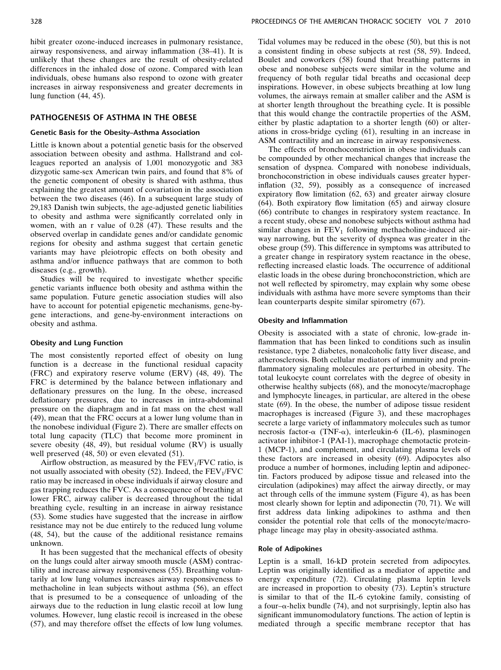## PATHOGENESIS OF ASTHMA IN THE OBESE

#### Genetic Basis for the Obesity–Asthma Association

Little is known about a potential genetic basis for the observed association between obesity and asthma. Hallstrand and colleagues reported an analysis of 1,001 monozygotic and 383 dizygotic same-sex American twin pairs, and found that 8% of the genetic component of obesity is shared with asthma, thus explaining the greatest amount of covariation in the association between the two diseases (46). In a subsequent large study of 29,183 Danish twin subjects, the age-adjusted genetic liabilities to obesity and asthma were significantly correlated only in women, with an r value of 0.28 (47). These results and the observed overlap in candidate genes and/or candidate genomic regions for obesity and asthma suggest that certain genetic variants may have pleiotropic effects on both obesity and asthma and/or influence pathways that are common to both diseases (e.g., growth).

Studies will be required to investigate whether specific genetic variants influence both obesity and asthma within the same population. Future genetic association studies will also have to account for potential epigenetic mechanisms, gene-bygene interactions, and gene-by-environment interactions on obesity and asthma.

#### Obesity and Lung Function

The most consistently reported effect of obesity on lung function is a decrease in the functional residual capacity (FRC) and expiratory reserve volume (ERV) (48, 49). The FRC is determined by the balance between inflationary and deflationary pressures on the lung. In the obese, increased deflationary pressures, due to increases in intra-abdominal pressure on the diaphragm and in fat mass on the chest wall (49), mean that the FRC occurs at a lower lung volume than in the nonobese individual (Figure 2). There are smaller effects on total lung capacity (TLC) that become more prominent in severe obesity (48, 49), but residual volume (RV) is usually well preserved (48, 50) or even elevated (51).

Airflow obstruction, as measured by the  $FEV<sub>1</sub>/FVC$  ratio, is not usually associated with obesity  $(52)$ . Indeed, the  $FEV<sub>1</sub>/FVC$ ratio may be increased in obese individuals if airway closure and gas trapping reduces the FVC. As a consequence of breathing at lower FRC, airway caliber is decreased throughout the tidal breathing cycle, resulting in an increase in airway resistance (53). Some studies have suggested that the increase in airflow resistance may not be due entirely to the reduced lung volume (48, 54), but the cause of the additional resistance remains unknown.

It has been suggested that the mechanical effects of obesity on the lungs could alter airway smooth muscle (ASM) contractility and increase airway responsiveness (55). Breathing voluntarily at low lung volumes increases airway responsiveness to methacholine in lean subjects without asthma (56), an effect that is presumed to be a consequence of unloading of the airways due to the reduction in lung elastic recoil at low lung volumes. However, lung elastic recoil is increased in the obese (57), and may therefore offset the effects of low lung volumes. Tidal volumes may be reduced in the obese (50), but this is not a consistent finding in obese subjects at rest (58, 59). Indeed, Boulet and coworkers (58) found that breathing patterns in obese and nonobese subjects were similar in the volume and frequency of both regular tidal breaths and occasional deep inspirations. However, in obese subjects breathing at low lung volumes, the airways remain at smaller caliber and the ASM is at shorter length throughout the breathing cycle. It is possible that this would change the contractile properties of the ASM, either by plastic adaptation to a shorter length (60) or alterations in cross-bridge cycling (61), resulting in an increase in ASM contractility and an increase in airway responsiveness.

The effects of bronchoconstriction in obese individuals can be compounded by other mechanical changes that increase the sensation of dyspnea. Compared with nonobese individuals, bronchoconstriction in obese individuals causes greater hyperinflation (32, 59), possibly as a consequence of increased expiratory flow limitation (62, 63) and greater airway closure (64). Both expiratory flow limitation (65) and airway closure (66) contribute to changes in respiratory system reactance. In a recent study, obese and nonobese subjects without asthma had similar changes in  $FEV<sub>1</sub>$  following methacholine-induced airway narrowing, but the severity of dyspnea was greater in the obese group (59). This difference in symptoms was attributed to a greater change in respiratory system reactance in the obese, reflecting increased elastic loads. The occurrence of additional elastic loads in the obese during bronchoconstriction, which are not well reflected by spirometry, may explain why some obese individuals with asthma have more severe symptoms than their lean counterparts despite similar spirometry (67).

#### Obesity and Inflammation

Obesity is associated with a state of chronic, low-grade inflammation that has been linked to conditions such as insulin resistance, type 2 diabetes, nonalcoholic fatty liver disease, and atherosclerosis. Both cellular mediators of immunity and proinflammatory signaling molecules are perturbed in obesity. The total leukocyte count correlates with the degree of obesity in otherwise healthy subjects (68), and the monocyte/macrophage and lymphocyte lineages, in particular, are altered in the obese state (69). In the obese, the number of adipose tissue resident macrophages is increased (Figure 3), and these macrophages secrete a large variety of inflammatory molecules such as tumor necrosis factor- $\alpha$  (TNF- $\alpha$ ), interleukin-6 (IL-6), plasminogen activator inhibitor-1 (PAI-1), macrophage chemotactic protein-1 (MCP-1), and complement, and circulating plasma levels of these factors are increased in obesity (69). Adipocytes also produce a number of hormones, including leptin and adiponectin. Factors produced by adipose tissue and released into the circulation (adipokines) may affect the airway directly, or may act through cells of the immune system (Figure 4), as has been most clearly shown for leptin and adiponectin (70, 71). We will first address data linking adipokines to asthma and then consider the potential role that cells of the monocyte/macrophage lineage may play in obesity-associated asthma.

#### Role of Adipokines

Leptin is a small, 16-kD protein secreted from adipocytes. Leptin was originally identified as a mediator of appetite and energy expenditure (72). Circulating plasma leptin levels are increased in proportion to obesity (73). Leptin's structure is similar to that of the IL-6 cytokine family, consisting of a four– $\alpha$ -helix bundle (74), and not surprisingly, leptin also has significant immunomodulatory functions. The action of leptin is mediated through a specific membrane receptor that has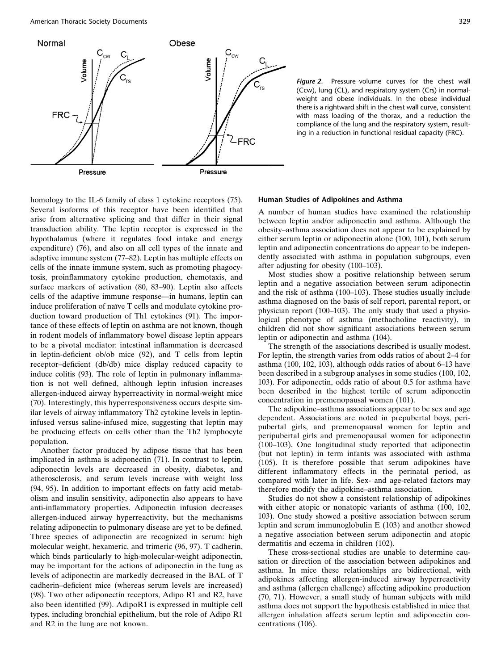

Figure 2. Pressure-volume curves for the chest wall (Ccw), lung (CL), and respiratory system (Crs) in normalweight and obese individuals. In the obese individual there is a rightward shift in the chest wall curve, consistent with mass loading of the thorax, and a reduction the compliance of the lung and the respiratory system, resulting in a reduction in functional residual capacity (FRC).

homology to the IL-6 family of class 1 cytokine receptors (75). Several isoforms of this receptor have been identified that arise from alternative splicing and that differ in their signal transduction ability. The leptin receptor is expressed in the hypothalamus (where it regulates food intake and energy expenditure) (76), and also on all cell types of the innate and adaptive immune system (77–82). Leptin has multiple effects on cells of the innate immune system, such as promoting phagocytosis, proinflammatory cytokine production, chemotaxis, and surface markers of activation (80, 83–90). Leptin also affects cells of the adaptive immune response—in humans, leptin can induce proliferation of naïve T cells and modulate cytokine production toward production of Th1 cytokines (91). The importance of these effects of leptin on asthma are not known, though in rodent models of inflammatory bowel disease leptin appears to be a pivotal mediator: intestinal inflammation is decreased in leptin-deficient ob/ob mice (92), and T cells from leptin receptor–deficient (db/db) mice display reduced capacity to induce colitis (93). The role of leptin in pulmonary inflammation is not well defined, although leptin infusion increases allergen-induced airway hyperreactivity in normal-weight mice (70). Interestingly, this hyperresponsiveness occurs despite similar levels of airway inflammatory Th2 cytokine levels in leptininfused versus saline-infused mice, suggesting that leptin may be producing effects on cells other than the Th2 lymphocyte population.

Another factor produced by adipose tissue that has been implicated in asthma is adiponectin (71). In contrast to leptin, adiponectin levels are decreased in obesity, diabetes, and atherosclerosis, and serum levels increase with weight loss (94, 95). In addition to important effects on fatty acid metabolism and insulin sensitivity, adiponectin also appears to have anti-inflammatory properties. Adiponectin infusion decreases allergen-induced airway hyperreactivity, but the mechanisms relating adiponectin to pulmonary disease are yet to be defined. Three species of adiponectin are recognized in serum: high molecular weight, hexameric, and trimeric (96, 97). T cadherin, which binds particularly to high-molecular-weight adiponectin, may be important for the actions of adiponectin in the lung as levels of adiponectin are markedly decreased in the BAL of T cadherin–deficient mice (whereas serum levels are increased) (98). Two other adiponectin receptors, Adipo R1 and R2, have also been identified (99). AdipoR1 is expressed in multiple cell types, including bronchial epithelium, but the role of Adipo R1 and R2 in the lung are not known.

## Human Studies of Adipokines and Asthma

A number of human studies have examined the relationship between leptin and/or adiponectin and asthma. Although the obesity–asthma association does not appear to be explained by either serum leptin or adiponectin alone (100, 101), both serum leptin and adiponectin concentrations do appear to be independently associated with asthma in population subgroups, even after adjusting for obesity  $(100-103)$ .

Most studies show a positive relationship between serum leptin and a negative association between serum adiponectin and the risk of asthma (100–103). These studies usually include asthma diagnosed on the basis of self report, parental report, or physician report (100–103). The only study that used a physiological phenotype of asthma (methacholine reactivity), in children did not show significant associations between serum leptin or adiponectin and asthma (104).

The strength of the associations described is usually modest. For leptin, the strength varies from odds ratios of about 2–4 for asthma (100, 102, 103), although odds ratios of about 6–13 have been described in a subgroup analyses in some studies (100, 102, 103). For adiponectin, odds ratio of about 0.5 for asthma have been described in the highest tertile of serum adiponectin concentration in premenopausal women (101).

The adipokine–asthma associations appear to be sex and age dependent. Associations are noted in prepubertal boys, peripubertal girls, and premenopausal women for leptin and peripubertal girls and premenopausal women for adiponectin (100–103). One longitudinal study reported that adiponectin (but not leptin) in term infants was associated with asthma (105). It is therefore possible that serum adipokines have different inflammatory effects in the perinatal period, as compared with later in life. Sex- and age-related factors may therefore modify the adipokine–asthma association.

Studies do not show a consistent relationship of adipokines with either atopic or nonatopic variants of asthma (100, 102, 103). One study showed a positive association between serum leptin and serum immunoglobulin E (103) and another showed a negative association between serum adiponectin and atopic dermatitis and eczema in children (102).

These cross-sectional studies are unable to determine causation or direction of the association between adipokines and asthma. In mice these relationships are bidirectional, with adipokines affecting allergen-induced airway hyperreactivity and asthma (allergen challenge) affecting adipokine production (70, 71). However, a small study of human subjects with mild asthma does not support the hypothesis established in mice that allergen inhalation affects serum leptin and adiponectin concentrations (106).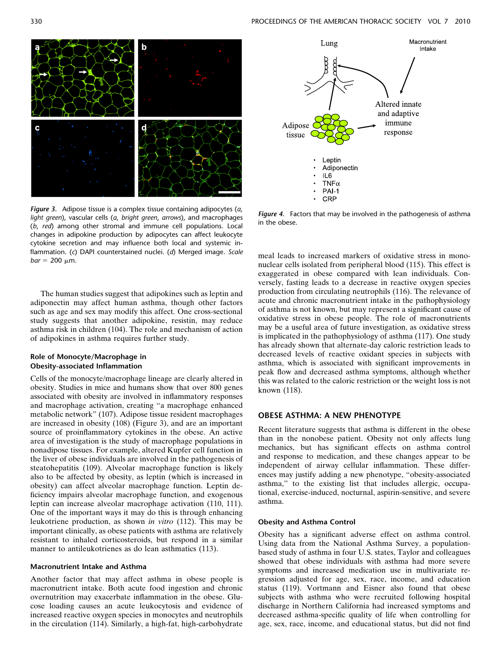

Figure 3. Adipose tissue is a complex tissue containing adipocytes ( $a$ , light green), vascular cells (a, bright green, arrows), and macrophages (b, red) among other stromal and immune cell populations. Local changes in adipokine production by adipocytes can affect leukocyte cytokine secretion and may influence both local and systemic inflammation. (c) DAPI counterstained nuclei. (d) Merged image. Scale  $bar = 200 \mu m$ .

The human studies suggest that adipokines such as leptin and adiponectin may affect human asthma, though other factors such as age and sex may modify this affect. One cross-sectional study suggests that another adipokine, resistin, may reduce asthma risk in children (104). The role and mechanism of action of adipokines in asthma requires further study.

# Role of Monocyte/Macrophage in Obesity-associated Inflammation

Cells of the monocyte/macrophage lineage are clearly altered in obesity. Studies in mice and humans show that over 800 genes associated with obesity are involved in inflammatory responses and macrophage activation, creating ''a macrophage enhanced metabolic network'' (107). Adipose tissue resident macrophages are increased in obesity (108) (Figure 3), and are an important source of proinflammatory cytokines in the obese. An active area of investigation is the study of macrophage populations in nonadipose tissues. For example, altered Kupfer cell function in the liver of obese individuals are involved in the pathogenesis of steatohepatitis (109). Alveolar macrophage function is likely also to be affected by obesity, as leptin (which is increased in obesity) can affect alveolar macrophage function. Leptin deficiency impairs alveolar macrophage function, and exogenous leptin can increase alveolar macrophage activation (110, 111). One of the important ways it may do this is through enhancing leukotriene production, as shown in vitro (112). This may be important clinically, as obese patients with asthma are relatively resistant to inhaled corticosteroids, but respond in a similar manner to antileukotrienes as do lean asthmatics (113).

#### Macronutrient Intake and Asthma

Another factor that may affect asthma in obese people is macronutrient intake. Both acute food ingestion and chronic overnutrition may exacerbate inflammation in the obese. Glucose loading causes an acute leukocytosis and evidence of increased reactive oxygen species in monocytes and neutrophils in the circulation (114). Similarly, a high-fat, high-carbohydrate



Figure 4. Factors that may be involved in the pathogenesis of asthma in the obese.

meal leads to increased markers of oxidative stress in mononuclear cells isolated from peripheral blood (115). This effect is exaggerated in obese compared with lean individuals. Conversely, fasting leads to a decrease in reactive oxygen species production from circulating neutrophils (116). The relevance of acute and chronic macronutrient intake in the pathophysiology of asthma is not known, but may represent a significant cause of oxidative stress in obese people. The role of macronutrients may be a useful area of future investigation, as oxidative stress is implicated in the pathophysiology of asthma (117). One study has already shown that alternate-day caloric restriction leads to decreased levels of reactive oxidant species in subjects with asthma, which is associated with significant improvements in peak flow and decreased asthma symptoms, although whether this was related to the caloric restriction or the weight loss is not known (118).

# OBESE ASTHMA: A NEW PHENOTYPE

Recent literature suggests that asthma is different in the obese than in the nonobese patient. Obesity not only affects lung mechanics, but has significant effects on asthma control and response to medication, and these changes appear to be independent of airway cellular inflammation. These differences may justify adding a new phenotype, ''obesity-associated asthma,'' to the existing list that includes allergic, occupational, exercise-induced, nocturnal, aspirin-sensitive, and severe asthma.

#### Obesity and Asthma Control

Obesity has a significant adverse effect on asthma control. Using data from the National Asthma Survey, a populationbased study of asthma in four U.S. states, Taylor and colleagues showed that obese individuals with asthma had more severe symptoms and increased medication use in multivariate regression adjusted for age, sex, race, income, and education status (119). Vortmann and Eisner also found that obese subjects with asthma who were recruited following hospital discharge in Northern California had increased symptoms and decreased asthma-specific quality of life when controlling for age, sex, race, income, and educational status, but did not find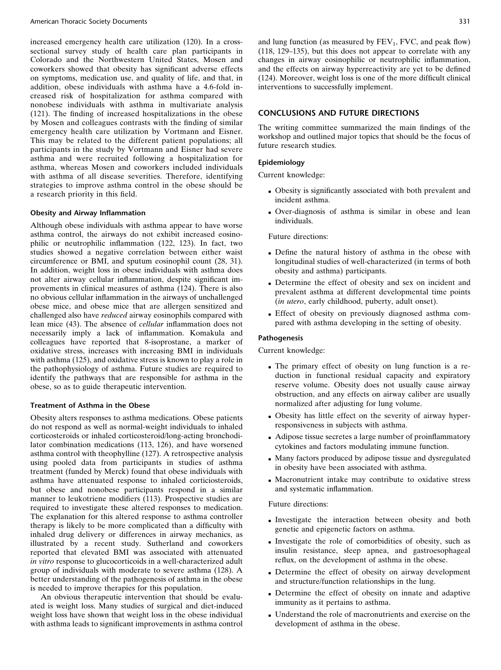increased emergency health care utilization (120). In a crosssectional survey study of health care plan participants in Colorado and the Northwestern United States, Mosen and coworkers showed that obesity has significant adverse effects on symptoms, medication use, and quality of life, and that, in addition, obese individuals with asthma have a 4.6-fold increased risk of hospitalization for asthma compared with nonobese individuals with asthma in multivariate analysis (121). The finding of increased hospitalizations in the obese by Mosen and colleagues contrasts with the finding of similar emergency health care utilization by Vortmann and Eisner. This may be related to the different patient populations; all participants in the study by Vortmann and Eisner had severe asthma and were recruited following a hospitalization for asthma, whereas Mosen and coworkers included individuals with asthma of all disease severities. Therefore, identifying strategies to improve asthma control in the obese should be a research priority in this field.

## Obesity and Airway Inflammation

Although obese individuals with asthma appear to have worse asthma control, the airways do not exhibit increased eosinophilic or neutrophilic inflammation (122, 123). In fact, two studies showed a negative correlation between either waist circumference or BMI, and sputum eosinophil count (28, 31). In addition, weight loss in obese individuals with asthma does not alter airway cellular inflammation, despite significant improvements in clinical measures of asthma (124). There is also no obvious cellular inflammation in the airways of unchallenged obese mice, and obese mice that are allergen sensitized and challenged also have reduced airway eosinophils compared with lean mice (43). The absence of cellular inflammation does not necessarily imply a lack of inflammation. Komakula and colleagues have reported that 8-isoprostane, a marker of oxidative stress, increases with increasing BMI in individuals with asthma (125), and oxidative stress is known to play a role in the pathophysiology of asthma. Future studies are required to identify the pathways that are responsible for asthma in the obese, so as to guide therapeutic intervention.

## Treatment of Asthma in the Obese

Obesity alters responses to asthma medications. Obese patients do not respond as well as normal-weight individuals to inhaled corticosteroids or inhaled corticosteroid/long-acting bronchodilator combination medications (113, 126), and have worsened asthma control with theophylline (127). A retrospective analysis using pooled data from participants in studies of asthma treatment (funded by Merck) found that obese individuals with asthma have attenuated response to inhaled corticiosteroids, but obese and nonobese participants respond in a similar manner to leukotriene modifiers (113). Prospective studies are required to investigate these altered responses to medication. The explanation for this altered response to asthma controller therapy is likely to be more complicated than a difficulty with inhaled drug delivery or differences in airway mechanics, as illustrated by a recent study. Sutherland and coworkers reported that elevated BMI was associated with attenuated in vitro response to glucocorticoids in a well-characterized adult group of individuals with moderate to severe asthma (128). A better understanding of the pathogenesis of asthma in the obese is needed to improve therapies for this population.

An obvious therapeutic intervention that should be evaluated is weight loss. Many studies of surgical and diet-induced weight loss have shown that weight loss in the obese individual with asthma leads to significant improvements in asthma control and lung function (as measured by  $FEV_1$ ,  $FVC$ , and peak flow) (118, 129–135), but this does not appear to correlate with any changes in airway eosinophilic or neutrophilic inflammation, and the effects on airway hyperreactivity are yet to be defined (124). Moreover, weight loss is one of the more difficult clinical interventions to successfully implement.

# CONCLUSIONS AND FUTURE DIRECTIONS

The writing committee summarized the main findings of the workshop and outlined major topics that should be the focus of future research studies.

## Epidemiology

Current knowledge:

- Obesity is significantly associated with both prevalent and incident asthma.
- Over-diagnosis of asthma is similar in obese and lean individuals.

# Future directions:

- Define the natural history of asthma in the obese with longitudinal studies of well-characterized (in terms of both obesity and asthma) participants.
- <sup>d</sup> Determine the effect of obesity and sex on incident and prevalent asthma at different developmental time points (in utero, early childhood, puberty, adult onset).
- <sup>d</sup> Effect of obesity on previously diagnosed asthma compared with asthma developing in the setting of obesity.

# Pathogenesis

Current knowledge:

- The primary effect of obesity on lung function is a reduction in functional residual capacity and expiratory reserve volume. Obesity does not usually cause airway obstruction, and any effects on airway caliber are usually normalized after adjusting for lung volume.
- Obesity has little effect on the severity of airway hyperresponsiveness in subjects with asthma.
- Adipose tissue secretes a large number of proinflammatory cytokines and factors modulating immune function.
- Many factors produced by adipose tissue and dysregulated in obesity have been associated with asthma.
- Macronutrient intake may contribute to oxidative stress and systematic inflammation.

Future directions:

- <sup>d</sup> Investigate the interaction between obesity and both genetic and epigenetic factors on asthma.
- Investigate the role of comorbidities of obesity, such as insulin resistance, sleep apnea, and gastroesophageal reflux, on the development of asthma in the obese.
- Determine the effect of obesity on airway development and structure/function relationships in the lung.
- Determine the effect of obesity on innate and adaptive immunity as it pertains to asthma.
- Understand the role of macronutrients and exercise on the development of asthma in the obese.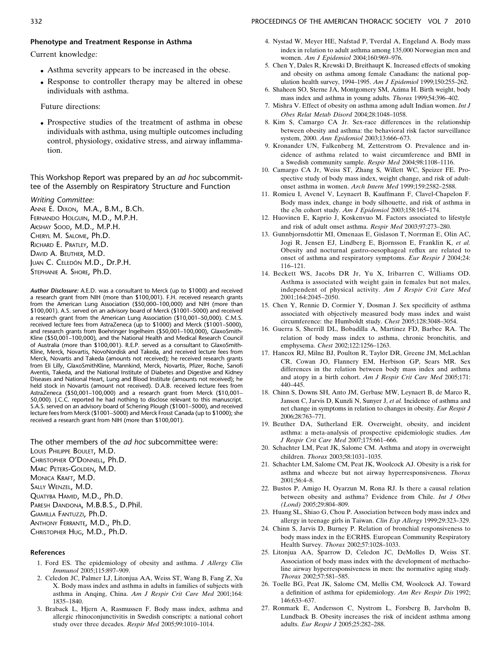## Phenotype and Treatment Response in Asthma

Current knowledge:

- Asthma severity appears to be increased in the obese.
- Response to controller therapy may be altered in obese individuals with asthma.

Future directions:

• Prospective studies of the treatment of asthma in obese individuals with asthma, using multiple outcomes including control, physiology, oxidative stress, and airway inflammation.

This Workshop Report was prepared by an ad hoc subcommittee of the Assembly on Respiratory Structure and Function

Writing Committee: ANNE E. DIXON, M.A., B.M., B.Ch. FERNANDO HOLGUIN, M.D., M.P.H. AKSHAY SOOD, M.D., M.P.H. CHERYL M. SALOME, Ph.D. RICHARD E. PRATLEY, M.D. DAVID A. BEUTHER, M.D. JUAN C. CELEDÓN M.D., Dr.P.H. STEPHANIE A. SHORE, Ph.D.

Author Disclosure: A.E.D. was a consultant to Merck (up to \$1000) and received a research grant from NIH (more than \$100,001). F.H. received research grants from the American Lung Association (\$50,000–100,000) and NIH (more than \$100,001). A.S. served on an advisory board of Merck (\$1001–5000) and received a research grant from the American Lung Association (\$10,001-50,000). C.M.S. received lecture fees from AstraZeneca (up to \$1000) and Merck (\$1001–5000), and research grants from Boehringer Ingelheim (\$50,001–100,000), GlaxoSmith-Kline (\$50,001–100,000), and the National Health and Medical Research Council of Australia (more than \$100,001). R.E.P. served as a consultant to GlaxoSmith-Kline, Merck, Novartis, NovoNordisk and Takeda, and received lecture fees from Merck, Novartis and Takeda (amounts not received); he received research grants from Eli Lilly, GlaxoSmithKline, Mannkind, Merck, Novartis, Pfizer, Roche, Sanofi Aventis, Takeda, and the National Institute of Diabetes and Digestive and Kidney Diseases and National Heart, Lung and Blood Institute (amounts not received); he held stock in Novartis (amount not received). D.A.B. received lecture fees from AstraZeneca (\$50,001–100,000) and a research grant from Merck (\$10,001– 50,000). J.C.C. reported he had nothing to disclose relevant to this manuscript. S.A.S. served on an advisory board of Schering Plough (\$1001–5000), and received lecture fees from Merck (\$1001–5000) and Merck Frosst Canada (up to \$1000); she received a research grant from NIH (more than \$100,001).

The other members of the ad hoc subcommittee were: LOUIS PHILIPPE BOULET, M.D. CHRISTOPHER O'DONNELL, Ph.D. MARC PETERS-GOLDEN, M.D. MONICA KRAFT, M.D. SALLY WENZEL, M.D. QUATYBA HAMID, M.D., Ph.D. PARESH DANDONA, M.B.B.S., D.Phil. GIAMILLA FANTUZZI, Ph.D. ANTHONY FERRANTE, M.D., Ph.D. CHRISTOPHER HUG, M.D., Ph.D.

# References

- 1. Ford ES. The epidemiology of obesity and asthma. J Allergy Clin Immunol 2005;115:897–909.
- 2. Celedon JC, Palmer LJ, Litonjua AA, Weiss ST, Wang B, Fang Z, Xu X. Body mass index and asthma in adults in families of subjects with asthma in Anqing, China. Am J Respir Crit Care Med 2001;164: 1835–1840.
- 3. Braback L, Hjern A, Rasmussen F. Body mass index, asthma and allergic rhinoconjunctivitis in Swedish conscripts: a national cohort study over three decades. Respir Med 2005;99:1010–1014.
- 4. Nystad W, Meyer HE, Nafstad P, Tverdal A, Engeland A. Body mass index in relation to adult asthma among 135,000 Norwegian men and women. Am J Epidemiol 2004;160:969–976.
- 5. Chen Y, Dales R, Krewski D, Breithaupt K. Increased effects of smoking and obesity on asthma among female Canadians: the national population health survey, 1994–1995. Am J Epidemiol 1999;150:255–262.
- 6. Shaheen SO, Sterne JA, Montgomery SM, Azima H. Birth weight, body mass index and asthma in young adults. Thorax 1999;54:396–402.
- 7. Mishra V. Effect of obesity on asthma among adult Indian women. Int J Obes Relat Metab Disord 2004;28:1048–1058.
- 8. Kim S, Camargo CA Jr. Sex-race differences in the relationship between obesity and asthma: the behavioral risk factor surveillance system, 2000. Ann Epidemiol 2003;13:666–673.
- 9. Kronander UN, Falkenberg M, Zetterstrom O. Prevalence and incidence of asthma related to waist circumference and BMI in a Swedish community sample. Respir Med 2004;98:1108–1116.
- 10. Camargo CA Jr, Weiss ST, Zhang S, Willett WC, Speizer FE. Prospective study of body mass index, weight change, and risk of adultonset asthma in women. Arch Intern Med 1999;159:2582–2588.
- 11. Romieu I, Avenel V, Leynaert B, Kauffmann F, Clavel-Chapelon F. Body mass index, change in body silhouette, and risk of asthma in the e3n cohort study. Am J Epidemiol 2003;158:165-174.
- 12. Huovinen E, Kaprio J, Koskenvuo M. Factors associated to lifestyle and risk of adult onset asthma. Respir Med 2003;97:273–280.
- 13. Gunnbjornsdottir MI, Omenaas E, Gislason T, Norrman E, Olin AC, Jogi R, Jensen EJ, Lindberg E, Bjornsson E, Franklin K, et al. Obesity and nocturnal gastro-oesophageal reflux are related to onset of asthma and respiratory symptoms. Eur Respir J 2004;24: 116–121.
- 14. Beckett WS, Jacobs DR Jr, Yu X, Iribarren C, Williams OD. Asthma is associated with weight gain in females but not males, independent of physical activity. Am J Respir Crit Care Med 2001;164:2045–2050.
- 15. Chen Y, Rennie D, Cormier Y, Dosman J. Sex specificity of asthma associated with objectively measured body mass index and waist circumference: the Humboldt study. Chest 2005;128:3048–3054.
- 16. Guerra S, Sherrill DL, Bobadilla A, Martinez FD, Barbee RA. The relation of body mass index to asthma, chronic bronchitis, and emphysema. Chest 2002;122:1256–1263.
- 17. Hancox RJ, Milne BJ, Poulton R, Taylor DR, Greene JM, McLachlan CR, Cowan JO, Flannery EM, Herbison GP, Sears MR. Sex differences in the relation between body mass index and asthma and atopy in a birth cohort. Am J Respir Crit Care Med 2005;171: 440–445.
- 18. Chinn S, Downs SH, Anto JM, Gerbase MW, Leynaert B, de Marco R, Janson C, Jarvis D, Kunzli N, Sunyer J, et al. Incidence of asthma and net change in symptoms in relation to changes in obesity. Eur Respir J 2006;28:763–771.
- 19. Beuther DA, Sutherland ER. Overweight, obesity, and incident asthma: a meta-analysis of prospective epidemiologic studies. Am J Respir Crit Care Med 2007;175:661–666.
- 20. Schachter LM, Peat JK, Salome CM. Asthma and atopy in overweight children. Thorax 2003;58:1031–1035.
- 21. Schachter LM, Salome CM, Peat JK, Woolcock AJ. Obesity is a risk for asthma and wheeze but not airway hyperresponsiveness. Thorax  $2001.56:4 - 8$
- 22. Bustos P, Amigo H, Oyarzun M, Rona RJ. Is there a causal relation between obesity and asthma? Evidence from Chile. Int J Obes (Lond) 2005;29:804–809.
- 23. Huang SL, Shiao G, Chou P. Association between body mass index and allergy in teenage girls in Taiwan. Clin Exp Allergy 1999;29:323–329.
- 24. Chinn S, Jarvis D, Burney P. Relation of bronchial responsiveness to body mass index in the ECRHS. European Community Respiratory Health Survey. Thorax 2002;57:1028–1033.
- 25. Litonjua AA, Sparrow D, Celedon JC, DeMolles D, Weiss ST. Association of body mass index with the development of methacholine airway hyperresponsiveness in men: the normative aging study. Thorax 2002;57:581–585.
- 26. Toelle BG, Peat JK, Salome CM, Mellis CM, Woolcock AJ. Toward a definition of asthma for epidemiology. Am Rev Respir Dis 1992; 146:633–637.
- 27. Ronmark E, Andersson C, Nystrom L, Forsberg B, Jarvholm B, Lundback B. Obesity increases the risk of incident asthma among adults. Eur Respir J 2005;25:282–288.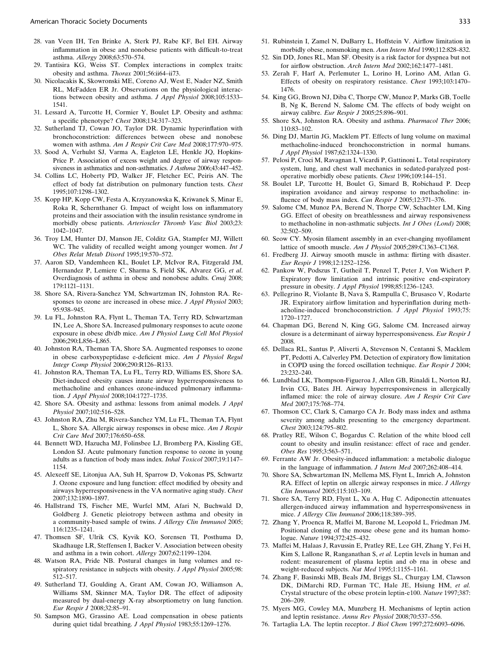- 28. van Veen IH, Ten Brinke A, Sterk PJ, Rabe KF, Bel EH. Airway inflammation in obese and nonobese patients with difficult-to-treat asthma. Allergy 2008;63:570–574.
- 29. Tantisira KG, Weiss ST. Complex interactions in complex traits: obesity and asthma. Thorax 2001;56:ii64–ii73.
- 30. Nicolacakis K, Skowronski ME, Coreno AJ, West E, Nader NZ, Smith RL, McFadden ER Jr. Observations on the physiological interactions between obesity and asthma. J Appl Physiol 2008;105:1533– 1541.
- 31. Lessard A, Turcotte H, Cormier Y, Boulet LP. Obesity and asthma: a specific phenotype? Chest 2008;134:317–323.
- 32. Sutherland TJ, Cowan JO, Taylor DR. Dynamic hyperinflation with bronchoconstriction: differences between obese and nonobese women with asthma. Am J Respir Crit Care Med 2008;177:970–975.
- 33. Sood A, Verhulst SJ, Varma A, Eagleton LE, Henkle JQ, Hopkins-Price P. Association of excess weight and degree of airway responsiveness in asthmatics and non-asthmatics. J Asthma 2006;43:447–452.
- 34. Collins LC, Hoberty PD, Walker JF, Fletcher EC, Peiris AN. The effect of body fat distribution on pulmonary function tests. Chest 1995;107:1298–1302.
- 35. Kopp HP, Kopp CW, Festa A, Krzyzanowska K, Kriwanek S, Minar E, Roka R, Schernthaner G. Impact of weight loss on inflammatory proteins and their association with the insulin resistance syndrome in morbidly obese patients. Arterioscler Thromb Vasc Biol 2003;23: 1042–1047.
- 36. Troy LM, Hunter DJ, Manson JE, Colditz GA, Stampfer MJ, Willett WC. The validity of recalled weight among younger women. Int J Obes Relat Metab Disord 1995;19:570–572.
- 37. Aaron SD, Vandemheen KL, Boulet LP, McIvor RA, Fitzgerald JM, Hernandez P, Lemiere C, Sharma S, Field SK, Alvarez GG, et al. Overdiagnosis of asthma in obese and nonobese adults. Cmaj 2008; 179:1121–1131.
- 38. Shore SA, Rivera-Sanchez YM, Schwartzman IN, Johnston RA. Responses to ozone are increased in obese mice. J Appl Physiol 2003; 95:938–945.
- 39. Lu FL, Johnston RA, Flynt L, Theman TA, Terry RD, Schwartzman IN, Lee A, Shore SA. Increased pulmonary responses to acute ozone exposure in obese db/db mice. Am J Physiol Lung Cell Mol Physiol 2006;290:L856–L865.
- 40. Johnston RA, Theman TA, Shore SA. Augmented responses to ozone in obese carboxypeptidase e-deficient mice. Am J Physiol Regul Integr Comp Physiol 2006;290:R126–R133.
- 41. Johnston RA, Theman TA, Lu FL, Terry RD, Williams ES, Shore SA. Diet-induced obesity causes innate airway hyperresponsiveness to methacholine and enhances ozone-induced pulmonary inflammation. J Appl Physiol 2008;104:1727–1735.
- 42. Shore SA. Obesity and asthma: lessons from animal models. J Appl Physiol 2007;102:516–528.
- 43. Johnston RA, Zhu M, Rivera-Sanchez YM, Lu FL, Theman TA, Flynt L, Shore SA. Allergic airway responses in obese mice. Am J Respir Crit Care Med 2007;176:650–658.
- 44. Bennett WD, Hazucha MJ, Folinsbee LJ, Bromberg PA, Kissling GE, London SJ. Acute pulmonary function response to ozone in young adults as a function of body mass index. Inhal Toxicol 2007;19:1147– 1154.
- 45. Alexeeff SE, Litonjua AA, Suh H, Sparrow D, Vokonas PS, Schwartz J. Ozone exposure and lung function: effect modified by obesity and airways hyperresponsiveness in the VA normative aging study. Chest 2007;132:1890–1897.
- 46. Hallstrand TS, Fischer ME, Wurfel MM, Afari N, Buchwald D, Goldberg J. Genetic pleiotropy between asthma and obesity in a community-based sample of twins. J Allergy Clin Immunol 2005; 116:1235–1241.
- 47. Thomsen SF, Ulrik CS, Kyvik KO, Sorensen TI, Posthuma D, Skadhauge LR, Steffensen I, Backer V. Association between obesity and asthma in a twin cohort. Allergy 2007;62:1199–1204.
- 48. Watson RA, Pride NB. Postural changes in lung volumes and respiratory resistance in subjects with obesity. J Appl Physiol 2005;98: 512–517.
- 49. Sutherland TJ, Goulding A, Grant AM, Cowan JO, Williamson A, Williams SM, Skinner MA, Taylor DR. The effect of adiposity measured by dual-energy X-ray absorptiometry on lung function. Eur Respir J 2008;32:85–91.
- 50. Sampson MG, Grassino AE. Load compensation in obese patients during quiet tidal breathing. J Appl Physiol 1983;55:1269–1276.
- 51. Rubinstein I, Zamel N, DuBarry L, Hoffstein V. Airflow limitation in morbidly obese, nonsmoking men. Ann Intern Med 1990;112:828–832.
- 52. Sin DD, Jones RL, Man SF. Obesity is a risk factor for dyspnea but not for airflow obstruction. Arch Intern Med 2002;162:1477–1481.
- 53. Zerah F, Harf A, Perlemuter L, Lorino H, Lorino AM, Atlan G. Effects of obesity on respiratory resistance. Chest 1993;103:1470– 1476.
- 54. King GG, Brown NJ, Diba C, Thorpe CW, Munoz P, Marks GB, Toelle B, Ng K, Berend N, Salome CM. The effects of body weight on airway calibre. Eur Respir J 2005;25:896–901.
- 55. Shore SA, Johnston RA. Obesity and asthma. Pharmacol Ther 2006; 110:83–102.
- 56. Ding DJ, Martin JG, Macklem PT. Effects of lung volume on maximal methacholine-induced bronchoconstriction in normal humans. J Appl Physiol 1987;62:1324–1330.
- 57. Pelosi P, Croci M, Ravagnan I, Vicardi P, Gattinoni L. Total respiratory system, lung, and chest wall mechanics in sedated-paralyzed postoperative morbidly obese patients. Chest 1996;109:144–151.
- 58. Boulet LP, Turcotte H, Boulet G, Simard B, Robichaud P. Deep inspiration avoidance and airway response to methacholine: influence of body mass index. Can Respir J 2005;12:371-376.
- 59. Salome CM, Munoz PA, Berend N, Thorpe CW, Schachter LM, King GG. Effect of obesity on breathlessness and airway responsiveness to methacholine in non-asthmatic subjects. Int J Obes (Lond) 2008; 32:502–509.
- 60. Seow CY. Myosin filament assembly in an ever-changing myofilament lattice of smooth muscle. Am J Physiol 2005;289:C1363–C1368.
- 61. Fredberg JJ. Airway smooth muscle in asthma: flirting with disaster. Eur Respir J 1998;12:1252–1256.
- 62. Pankow W, Podszus T, Gutheil T, Penzel T, Peter J, Von Wichert P. Expiratory flow limitation and intrinsic positive end-expiratory pressure in obesity. J Appl Physiol 1998;85:1236–1243.
- 63. Pellegrino R, Violante B, Nava S, Rampulla C, Brusasco V, Rodarte JR. Expiratory airflow limitation and hyperinflation during methacholine-induced bronchoconstriction. J Appl Physiol 1993;75: 1720–1727.
- 64. Chapman DG, Berend N, King GG, Salome CM. Increased airway closure is a determinant of airway hyperresponsiveness. Eur Respir J 2008.
- 65. Dellaca RL, Santus P, Aliverti A, Stevenson N, Centanni S, Macklem PT, Pedotti A, Calverley PM. Detection of expiratory flow limitation in COPD using the forced oscillation technique. Eur Respir J 2004; 23:232–240.
- 66. Lundblad LK, Thompson-Figueroa J, Allen GB, Rinaldi L, Norton RJ, Irvin CG, Bates JH. Airway hyperresponsiveness in allergically inflamed mice: the role of airway closure. Am J Respir Crit Care Med 2007;175:768–774.
- 67. Thomson CC, Clark S, Camargo CA Jr. Body mass index and asthma severity among adults presenting to the emergency department. Chest 2003;124:795–802.
- 68. Pratley RE, Wilson C, Bogardus C. Relation of the white blood cell count to obesity and insulin resistance: effect of race and gender. Obes Res 1995;3:563–571.
- 69. Ferrante AW Jr. Obesity-induced inflammation: a metabolic dialogue in the language of inflammation. J Intern Med 2007;262:408–414.
- 70. Shore SA, Schwartzman IN, Mellema MS, Flynt L, Imrich A, Johnston RA. Effect of leptin on allergic airway responses in mice. J Allergy Clin Immunol 2005;115:103–109.
- 71. Shore SA, Terry RD, Flynt L, Xu A, Hug C. Adiponectin attenuates allergen-induced airway inflammation and hyperresponsiveness in mice. J Allergy Clin Immunol 2006;118:389–395.
- 72. Zhang Y, Proenca R, Maffei M, Barone M, Leopold L, Friedman JM. Positional cloning of the mouse obese gene and its human homologue. Nature 1994;372:425–432.
- 73. Maffei M, Halaas J, Ravussin E, Pratley RE, Lee GH, Zhang Y, Fei H, Kim S, Lallone R, Ranganathan S, et al. Leptin levels in human and rodent: measurement of plasma leptin and ob rna in obese and weight-reduced subjects. Nat Med 1995;1:1155-1161.
- 74. Zhang F, Basinski MB, Beals JM, Briggs SL, Churgay LM, Clawson DK, DiMarchi RD, Furman TC, Hale JE, Hsiung HM, et al. Crystal structure of the obese protein leptin-e100. Nature 1997;387: 206–209.
- 75. Myers MG, Cowley MA, Munzberg H. Mechanisms of leptin action and leptin resistance. Annu Rev Physiol 2008;70:537–556.
- 76. Tartaglia LA. The leptin receptor. J Biol Chem 1997;272:6093–6096.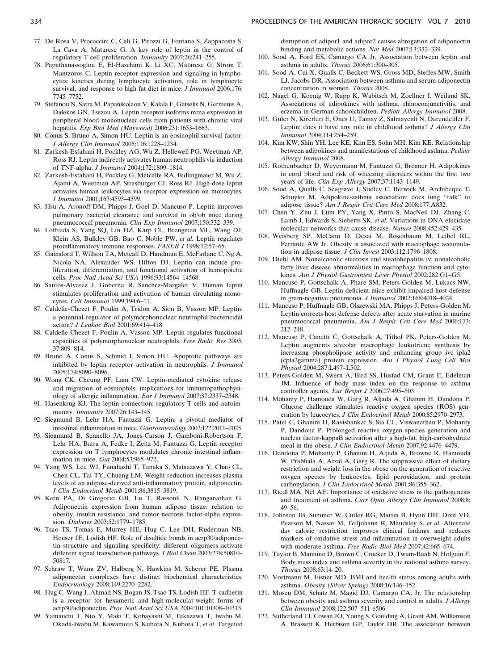- 77. De Rosa V, Procaccini C, Cali G, Pirozzi G, Fontana S, Zappacosta S, La Cava A, Matarese G. A key role of leptin in the control of regulatory T cell proliferation. Immunity 2007;26:241–255.
- 78. Papathanassoglou E, El-Haschimi K, Li XC, Matarese G, Strom T, Mantzoros C. Leptin receptor expression and signaling in lymphocytes: kinetics during lymphocyte activation, role in lymphocyte survival, and response to high fat diet in mice. *J Immunol* 2006;176: 7745–7752.
- 79. Stefanou N, Satra M, Papanikolaou V, Kalala F, Gatselis N, Germenis A, Dalekos GN, Tsezou A. Leptin receptor isoforms mrna expression in peripheral blood mononuclear cells from patients with chronic viral hepatitis. Exp Biol Med (Maywood) 2006;231:1653–1663.
- 80. Conus S, Bruno A, Simon HU. Leptin is an eosinophil survival factor. J Allergy Clin Immunol 2005;116:1228–1234.
- 81. Zarkesh-Esfahani H, Pockley AG, Wu Z, Hellewell PG, Weetman AP, Ross RJ. Leptin indirectly activates human neutrophils via induction of TNF-alpha. J Immunol 2004;172:1809–1814.
- 82. Zarkesh-Esfahani H, Pockley G, Metcalfe RA, Bidlingmaier M, Wu Z, Ajami A, Weetman AP, Strasburger CJ, Ross RJ. High-dose leptin activates human leukocytes via receptor expression on monocytes. J Immunol 2001;167:4593–4599.
- 83. Hsu A, Aronoff DM, Phipps J, Goel D, Mancuso P. Leptin improves pulmonary bacterial clearance and survival in ob/ob mice during pneumococcal pneumonia. Clin Exp Immunol 2007;150:332–339.
- 84. Loffreda S, Yang SQ, Lin HZ, Karp CL, Brengman ML, Wang DJ, Klein AS, Bulkley GB, Bao C, Noble PW, et al. Leptin regulates proinflammatory immune responses. FASEB J 1998;12:57–65.
- 85. Gainsford T, Willson TA, Metcalf D, Handman E, McFarlane C, Ng A, Nicola NA, Alexander WS, Hilton DJ. Leptin can induce proliferation, differentiation, and functional activation of hemopoietic cells. Proc Natl Acad Sci USA 1996;93:14564–14568.
- 86. Santos-Alvarez J, Goberna R, Sanchez-Margalet V. Human leptin stimulates proliferation and activation of human circulating monocytes. Cell Immunol 1999;194:6–11.
- 87. Caldefie-Chezet F, Poulin A, Tridon A, Sion B, Vasson MP. Leptin: a potential regulator of polymorphonuclear neutrophil bactericidal action? J Leukoc Biol 2001;69:414–418.
- 88. Caldefie-Chezet F, Poulin A, Vasson MP. Leptin regulates functional capacities of polymorphonuclear neutrophils. Free Radic Res 2003; 37:809–814.
- 89. Bruno A, Conus S, Schmid I, Simon HU. Apoptotic pathways are inhibited by leptin receptor activation in neutrophils. J Immunol 2005;174:8090–8096.
- 90. Wong CK, Cheung PF, Lam CW. Leptin-mediated cytokine release and migration of eosinophils: implications for immunopathophysiology of allergic inflammation. Eur J Immunol 2007;37:2337–2348.
- 91. Hasenkrug KJ. The leptin connection: regulatory T cells and autoimmunity. Immunity 2007;26:143–145.
- 92. Siegmund B, Lehr HA, Fantuzzi G. Leptin: a pivotal mediator of intestinal inflammation in mice. Gastroenterology 2002;122:2011–2025.
- 93. Siegmund B, Sennello JA, Jones-Carson J, Gamboni-Robertson F, Lehr HA, Batra A, Fedke I, Zeitz M, Fantuzzi G. Leptin receptor expression on T lymphocytes modulates chronic intestinal inflammation in mice. Gut 2004;53:965–972.
- 94. Yang WS, Lee WJ, Funahashi T, Tanaka S, Matsuzawa Y, Chao CL, Chen CL, Tai TY, Chuang LM. Weight reduction increases plasma levels of an adipose-derived anti-inflammatory protein, adiponectin. J Clin Endocrinol Metab 2001;86:3815–3819.
- 95. Kern PA, Di Gregorio GB, Lu T, Rassouli N, Ranganathan G. Adiponectin expression from human adipose tissue: relation to obesity, insulin resistance, and tumor necrosis factor-alpha expression. Diabetes 2003;52:1779–1785.
- 96. Tsao TS, Tomas E, Murrey HE, Hug C, Lee DH, Ruderman NB, Heuser JE, Lodish HF. Role of disulfide bonds in acrp30/adiponectin structure and signaling specificity: different oligomers activate different signal transduction pathways. J Biol Chem 2003;278:50810– 50817.
- 97. Schraw T, Wang ZV, Halberg N, Hawkins M, Scherer PE. Plasma adiponectin complexes have distinct biochemical characteristics. Endocrinology 2008;149:2270–2282.
- 98. Hug C, Wang J, Ahmad NS, Bogan JS, Tsao TS, Lodish HF. T-cadherin is a receptor for hexameric and high-molecular-weight forms of acrp30/adiponectin. Proc Natl Acad Sci USA 2004;101:10308–10313.
- 99. Yamauchi T, Nio Y, Maki T, Kobayashi M, Takazawa T, Iwabu M, Okada-Iwabu M, Kawamoto S, Kubota N, Kubota T, et al. Targeted

disruption of adipor1 and adipor2 causes abrogation of adiponectin binding and metabolic actions. Nat Med 2007;13:332–339.

- 100. Sood A, Ford ES, Camargo CA Jr. Association between leptin and asthma in adults. Thorax 2006;61:300–305.
- 101. Sood A, Cui X, Qualls C, Beckett WS, Gross MD, Steffes MW, Smith LJ, Jacobs DR. Association between asthma and serum adiponectin concentration in women. Thorax 2008.
- 102. Nagel G, Koenig W, Rapp K, Wabitsch M, Zoellner I, Weiland SK. Associations of adipokines with asthma, rhinoconjunctivitis, and eczema in German schoolchildren. Pediatr Allergy Immunol 2008.
- 103. Guler N, Kirerleri E, Ones U, Tamay Z, Salmayenli N, Darendeliler F. Leptin: does it have any role in childhood asthma? J Allergy Clin Immunol 2004;114:254–259.
- 104. Kim KW, Shin YH, Lee KE, Kim ES, Sohn MH, Kim KE. Relationship between adipokines and manifestations of childhood asthma. Pediatr Allergy Immunol 2008.
- 105. Rothenbacher D, Weyermann M, Fantuzzi G, Brenner H. Adipokines in cord blood and risk of wheezing disorders within the first two years of life. Clin Exp Allergy 2007;37:1143–1149.
- 106. Sood A, Qualls C, Seagrave J, Stidley C, Berwick M, Archibeque T, Schuyler M. Adipokine-asthma association: does lung "talk" to adipose tissue? Am J Respir Crit Care Med 2008;177:A832.
- 107. Chen Y, Zhu J, Lum PY, Yang X, Pinto S, MacNeil DJ, Zhang C, Lamb J, Edwards S, Sieberts SK, et al. Variations in DNA elucidate molecular networks that cause disease. Nature 2008;452:429–435.
- 108. Weisberg SP, McCann D, Desai M, Rosenbaum M, Leibel RL, Ferrante AW Jr. Obesity is associated with macrophage accumulation in adipose tissue. J Clin Invest 2003;112:1796-1808.
- 109. Diehl AM. Nonalcoholic steatosis and steatohepatitis iv: nonalcoholic fatty liver disease abnormalities in macrophage function and cytokines. Am J Physiol Gastrointest Liver Physiol 2002;282:G1–G5.
- 110. Mancuso P, Gottschalk A, Phare SM, Peters-Golden M, Lukacs NW, Huffnagle GB. Leptin-deficient mice exhibit impaired host defense in gram-negative pneumonia. J Immunol 2002;168:4018–4024.
- 111. Mancuso P, Huffnagle GB, Olszewski MA, Phipps J, Peters-Golden M. Leptin corrects host defense defects after acute starvation in murine pneumococcal pneumonia. Am J Respir Crit Care Med 2006;173: 212–218.
- 112. Mancuso P, Canetti C, Gottschalk A, Tithof PK, Peters-Golden M. Leptin augments alveolar macrophage leukotriene synthesis by increasing phospholipase activity and enhancing group ivc ipla2 (cpla2gamma) protein expression. Am J Physiol Lung Cell Mol Physiol 2004;287:L497–L502.
- 113. Peters-Golden M, Swern A, Bird SS, Hustad CM, Grant E, Edelman JM. Influence of body mass index on the response to asthma controller agents. Eur Respir J 2006;27:495–503.
- 114. Mohanty P, Hamouda W, Garg R, Aljada A, Ghanim H, Dandona P. Glucose challenge stimulates reactive oxygen species (ROS) generation by leucocytes. J Clin Endocrinol Metab 2000;85:2970–2973.
- 115. Patel C, Ghanim H, Ravishankar S, Sia CL, Viswanathan P, Mohanty P, Dandona P. Prolonged reactive oxygen species generation and nuclear factor-kappaB activation after a high-fat, high-carbohydrate meal in the obese. J Clin Endocrinol Metab 2007;92:4476–4479.
- 116. Dandona P, Mohanty P, Ghanim H, Aljada A, Browne R, Hamouda W, Prabhala A, Afzal A, Garg R. The suppressive effect of dietary restriction and weight loss in the obese on the generation of reactive oxygen species by leukocytes, lipid peroxidation, and protein carbonylation. J Clin Endocrinol Metab 2001;86:355–362.
- 117. Riedl MA, Nel AE. Importance of oxidative stress in the pathogenesis and treatment of asthma. Curr Opin Allergy Clin Immunol 2008;8: 49–56.
- 118. Johnson JB, Summer W, Cutler RG, Martin B, Hyun DH, Dixit VD, Pearson M, Nassar M, Telljohann R, Maudsley S, et al. Alternate day calorie restriction improves clinical findings and reduces markers of oxidative stress and inflammation in overweight adults with moderate asthma. Free Radic Biol Med 2007;42:665–674.
- 119. Taylor B, Mannino D, Brown C, Crocker D, Twum-Baah N, Holguin F. Body mass index and asthma severity in the national asthma survey. Thorax 2008;63:14–20.
- 120. Vortmann M, Eisner MD. BMI and health status among adults with asthma. Obesity (Silver Spring) 2008;16:146–152.
- 121. Mosen DM, Schatz M, Magid DJ, Camargo CA, Jr. The relationship between obesity and asthma severity and control in adults. J Allergy Clin Immunol 2008;122:507–511 e506.
- 122. Sutherland TJ, Cowan JO, Young S, Goulding A, Grant AM, Williamson A, Brassett K, Herbison GP, Taylor DR. The association between